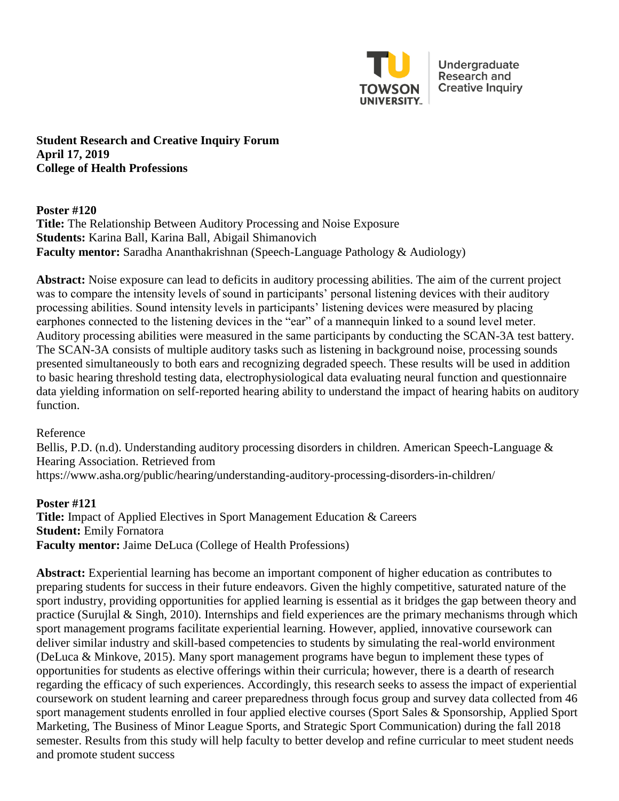

Undergraduate **Research and Creative Inquiry** 

**Student Research and Creative Inquiry Forum April 17, 2019 College of Health Professions** 

**Poster #120 Title:** The Relationship Between Auditory Processing and Noise Exposure **Students:** Karina Ball, Karina Ball, Abigail Shimanovich **Faculty mentor:** Saradha Ananthakrishnan (Speech-Language Pathology & Audiology)

**Abstract:** Noise exposure can lead to deficits in auditory processing abilities. The aim of the current project was to compare the intensity levels of sound in participants' personal listening devices with their auditory processing abilities. Sound intensity levels in participants' listening devices were measured by placing earphones connected to the listening devices in the "ear" of a mannequin linked to a sound level meter. Auditory processing abilities were measured in the same participants by conducting the SCAN-3A test battery. The SCAN-3A consists of multiple auditory tasks such as listening in background noise, processing sounds presented simultaneously to both ears and recognizing degraded speech. These results will be used in addition to basic hearing threshold testing data, electrophysiological data evaluating neural function and questionnaire data yielding information on self-reported hearing ability to understand the impact of hearing habits on auditory function.

Reference

Bellis, P.D. (n.d). Understanding auditory processing disorders in children. American Speech-Language & Hearing Association. Retrieved from https://www.asha.org/public/hearing/understanding-auditory-processing-disorders-in-children/

**Poster #121 Title:** Impact of Applied Electives in Sport Management Education & Careers **Student:** Emily Fornatora **Faculty mentor:** Jaime DeLuca (College of Health Professions)

**Abstract:** Experiential learning has become an important component of higher education as contributes to preparing students for success in their future endeavors. Given the highly competitive, saturated nature of the sport industry, providing opportunities for applied learning is essential as it bridges the gap between theory and practice (Surujlal & Singh, 2010). Internships and field experiences are the primary mechanisms through which sport management programs facilitate experiential learning. However, applied, innovative coursework can deliver similar industry and skill-based competencies to students by simulating the real-world environment (DeLuca & Minkove, 2015). Many sport management programs have begun to implement these types of opportunities for students as elective offerings within their curricula; however, there is a dearth of research regarding the efficacy of such experiences. Accordingly, this research seeks to assess the impact of experiential coursework on student learning and career preparedness through focus group and survey data collected from 46 sport management students enrolled in four applied elective courses (Sport Sales & Sponsorship, Applied Sport Marketing, The Business of Minor League Sports, and Strategic Sport Communication) during the fall 2018 semester. Results from this study will help faculty to better develop and refine curricular to meet student needs and promote student success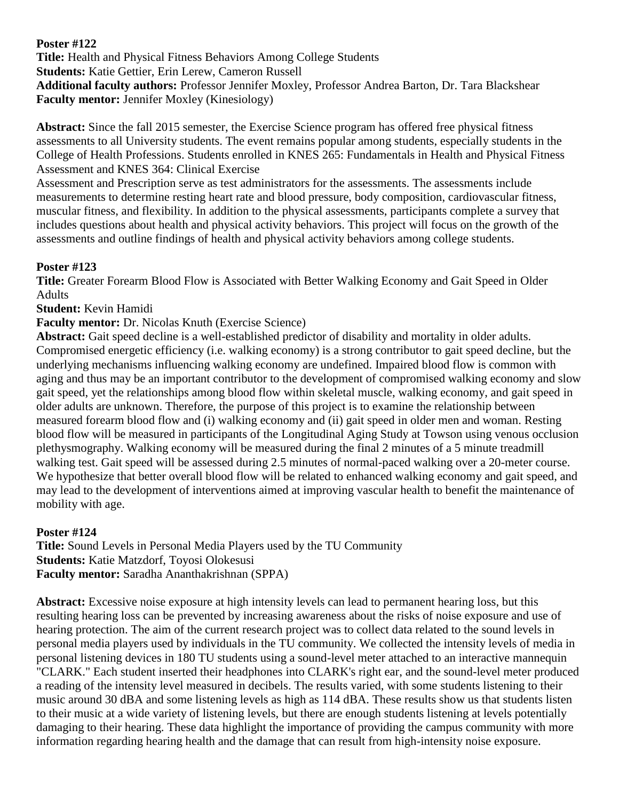### **Poster #122**

**Title:** Health and Physical Fitness Behaviors Among College Students **Students:** Katie Gettier, Erin Lerew, Cameron Russell **Additional faculty authors:** Professor Jennifer Moxley, Professor Andrea Barton, Dr. Tara Blackshear **Faculty mentor:** Jennifer Moxley (Kinesiology)

**Abstract:** Since the fall 2015 semester, the Exercise Science program has offered free physical fitness assessments to all University students. The event remains popular among students, especially students in the College of Health Professions. Students enrolled in KNES 265: Fundamentals in Health and Physical Fitness Assessment and KNES 364: Clinical Exercise

Assessment and Prescription serve as test administrators for the assessments. The assessments include measurements to determine resting heart rate and blood pressure, body composition, cardiovascular fitness, muscular fitness, and flexibility. In addition to the physical assessments, participants complete a survey that includes questions about health and physical activity behaviors. This project will focus on the growth of the assessments and outline findings of health and physical activity behaviors among college students.

## **Poster #123**

**Title:** Greater Forearm Blood Flow is Associated with Better Walking Economy and Gait Speed in Older Adults

**Student:** Kevin Hamidi

**Faculty mentor:** Dr. Nicolas Knuth (Exercise Science)

**Abstract:** Gait speed decline is a well-established predictor of disability and mortality in older adults. Compromised energetic efficiency (i.e. walking economy) is a strong contributor to gait speed decline, but the underlying mechanisms influencing walking economy are undefined. Impaired blood flow is common with aging and thus may be an important contributor to the development of compromised walking economy and slow gait speed, yet the relationships among blood flow within skeletal muscle, walking economy, and gait speed in older adults are unknown. Therefore, the purpose of this project is to examine the relationship between measured forearm blood flow and (i) walking economy and (ii) gait speed in older men and woman. Resting blood flow will be measured in participants of the Longitudinal Aging Study at Towson using venous occlusion plethysmography. Walking economy will be measured during the final 2 minutes of a 5 minute treadmill walking test. Gait speed will be assessed during 2.5 minutes of normal-paced walking over a 20-meter course. We hypothesize that better overall blood flow will be related to enhanced walking economy and gait speed, and may lead to the development of interventions aimed at improving vascular health to benefit the maintenance of mobility with age.

# **Poster #124**

**Title:** Sound Levels in Personal Media Players used by the TU Community **Students:** Katie Matzdorf, Toyosi Olokesusi **Faculty mentor:** Saradha Ananthakrishnan (SPPA)

**Abstract:** Excessive noise exposure at high intensity levels can lead to permanent hearing loss, but this resulting hearing loss can be prevented by increasing awareness about the risks of noise exposure and use of hearing protection. The aim of the current research project was to collect data related to the sound levels in personal media players used by individuals in the TU community. We collected the intensity levels of media in personal listening devices in 180 TU students using a sound-level meter attached to an interactive mannequin "CLARK." Each student inserted their headphones into CLARK's right ear, and the sound-level meter produced a reading of the intensity level measured in decibels. The results varied, with some students listening to their music around 30 dBA and some listening levels as high as 114 dBA. These results show us that students listen to their music at a wide variety of listening levels, but there are enough students listening at levels potentially damaging to their hearing. These data highlight the importance of providing the campus community with more information regarding hearing health and the damage that can result from high-intensity noise exposure.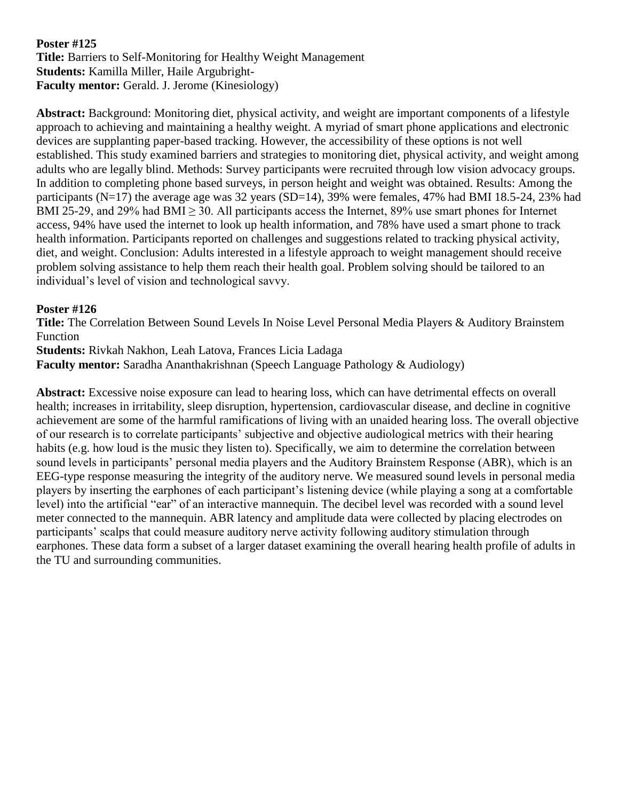#### **Poster #125 Title:** Barriers to Self-Monitoring for Healthy Weight Management **Students:** Kamilla Miller, Haile Argubright-**Faculty mentor:** Gerald. J. Jerome (Kinesiology)

**Abstract:** Background: Monitoring diet, physical activity, and weight are important components of a lifestyle approach to achieving and maintaining a healthy weight. A myriad of smart phone applications and electronic devices are supplanting paper-based tracking. However, the accessibility of these options is not well established. This study examined barriers and strategies to monitoring diet, physical activity, and weight among adults who are legally blind. Methods: Survey participants were recruited through low vision advocacy groups. In addition to completing phone based surveys, in person height and weight was obtained. Results: Among the participants (N=17) the average age was 32 years (SD=14), 39% were females, 47% had BMI 18.5-24, 23% had BMI 25-29, and 29% had BMI  $\geq$  30. All participants access the Internet, 89% use smart phones for Internet access, 94% have used the internet to look up health information, and 78% have used a smart phone to track health information. Participants reported on challenges and suggestions related to tracking physical activity, diet, and weight. Conclusion: Adults interested in a lifestyle approach to weight management should receive problem solving assistance to help them reach their health goal. Problem solving should be tailored to an individual's level of vision and technological savvy.

#### **Poster #126**

**Title:** The Correlation Between Sound Levels In Noise Level Personal Media Players & Auditory Brainstem Function

**Students:** Rivkah Nakhon, Leah Latova, Frances Licia Ladaga

**Faculty mentor:** Saradha Ananthakrishnan (Speech Language Pathology & Audiology)

**Abstract:** Excessive noise exposure can lead to hearing loss, which can have detrimental effects on overall health; increases in irritability, sleep disruption, hypertension, cardiovascular disease, and decline in cognitive achievement are some of the harmful ramifications of living with an unaided hearing loss. The overall objective of our research is to correlate participants' subjective and objective audiological metrics with their hearing habits (e.g. how loud is the music they listen to). Specifically, we aim to determine the correlation between sound levels in participants' personal media players and the Auditory Brainstem Response (ABR), which is an EEG-type response measuring the integrity of the auditory nerve. We measured sound levels in personal media players by inserting the earphones of each participant's listening device (while playing a song at a comfortable level) into the artificial "ear" of an interactive mannequin. The decibel level was recorded with a sound level meter connected to the mannequin. ABR latency and amplitude data were collected by placing electrodes on participants' scalps that could measure auditory nerve activity following auditory stimulation through earphones. These data form a subset of a larger dataset examining the overall hearing health profile of adults in the TU and surrounding communities.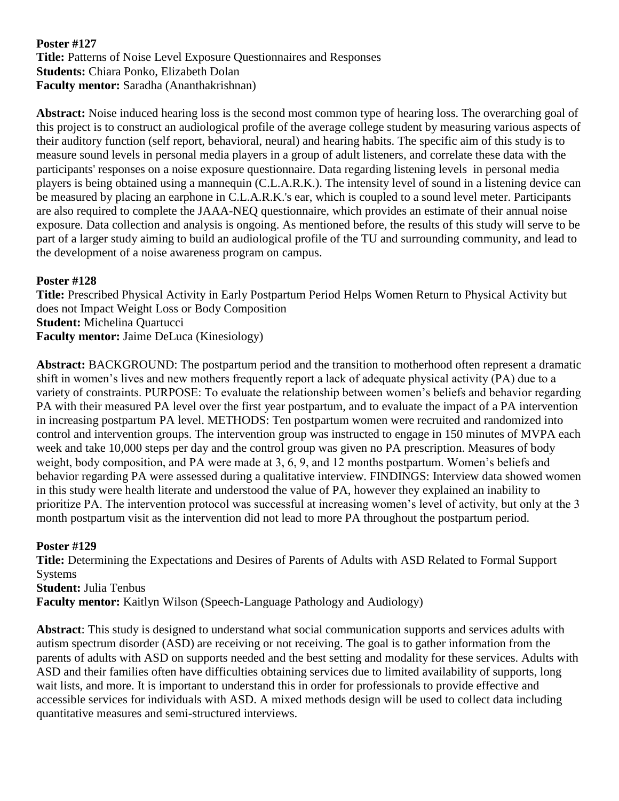#### **Poster #127 Title:** Patterns of Noise Level Exposure Questionnaires and Responses **Students:** Chiara Ponko, Elizabeth Dolan **Faculty mentor:** Saradha (Ananthakrishnan)

**Abstract:** Noise induced hearing loss is the second most common type of hearing loss. The overarching goal of this project is to construct an audiological profile of the average college student by measuring various aspects of their auditory function (self report, behavioral, neural) and hearing habits. The specific aim of this study is to measure sound levels in personal media players in a group of adult listeners, and correlate these data with the participants' responses on a noise exposure questionnaire. Data regarding listening levels in personal media players is being obtained using a mannequin (C.L.A.R.K.). The intensity level of sound in a listening device can be measured by placing an earphone in C.L.A.R.K.'s ear, which is coupled to a sound level meter. Participants are also required to complete the JAAA-NEQ questionnaire, which provides an estimate of their annual noise exposure. Data collection and analysis is ongoing. As mentioned before, the results of this study will serve to be part of a larger study aiming to build an audiological profile of the TU and surrounding community, and lead to the development of a noise awareness program on campus.

## **Poster #128**

**Title:** Prescribed Physical Activity in Early Postpartum Period Helps Women Return to Physical Activity but does not Impact Weight Loss or Body Composition **Student:** Michelina Quartucci **Faculty mentor:** Jaime DeLuca (Kinesiology)

**Abstract:** BACKGROUND: The postpartum period and the transition to motherhood often represent a dramatic shift in women's lives and new mothers frequently report a lack of adequate physical activity (PA) due to a variety of constraints. PURPOSE: To evaluate the relationship between women's beliefs and behavior regarding PA with their measured PA level over the first year postpartum, and to evaluate the impact of a PA intervention in increasing postpartum PA level. METHODS: Ten postpartum women were recruited and randomized into control and intervention groups. The intervention group was instructed to engage in 150 minutes of MVPA each week and take 10,000 steps per day and the control group was given no PA prescription. Measures of body weight, body composition, and PA were made at 3, 6, 9, and 12 months postpartum. Women's beliefs and behavior regarding PA were assessed during a qualitative interview. FINDINGS: Interview data showed women in this study were health literate and understood the value of PA, however they explained an inability to prioritize PA. The intervention protocol was successful at increasing women's level of activity, but only at the 3 month postpartum visit as the intervention did not lead to more PA throughout the postpartum period.

#### **Poster #129**

**Title:** Determining the Expectations and Desires of Parents of Adults with ASD Related to Formal Support **Systems Student:** Julia Tenbus **Faculty mentor:** Kaitlyn Wilson (Speech-Language Pathology and Audiology)

**Abstract**: This study is designed to understand what social communication supports and services adults with autism spectrum disorder (ASD) are receiving or not receiving. The goal is to gather information from the parents of adults with ASD on supports needed and the best setting and modality for these services. Adults with ASD and their families often have difficulties obtaining services due to limited availability of supports, long wait lists, and more. It is important to understand this in order for professionals to provide effective and accessible services for individuals with ASD. A mixed methods design will be used to collect data including quantitative measures and semi-structured interviews.